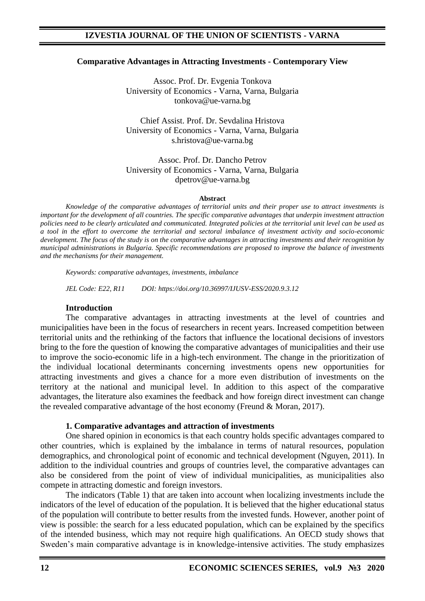#### **Comparative Advantages in Attracting Investments - Contemporary View**

Assoc. Prof. Dr. Evgenia Tonkova University of Economics - Varna, Varna, Bulgaria tonkova@ue-varna.bg

Chief Assist. Prof. Dr. Sevdalina Hristova University of Economics - Varna, Varna, Bulgaria s.hristova@ue-varna.bg

Assoc. Prof. Dr. Dancho Petrov University of Economics - Varna, Varna, Bulgaria dpetrov@ue-varna.bg

#### **Abstract**

*Knowledge of the comparative advantages of territorial units and their proper use to attract investments is important for the development of all countries. The specific comparative advantages that underpin investment attraction policies need to be clearly articulated and communicated. Integrated policies at the territorial unit level can be used as a tool in the effort to overcome the territorial and sectoral imbalance of investment activity and socio-economic development. The focus of the study is on the comparative advantages in attracting investments and their recognition by municipal administrations in Bulgaria. Specific recommendations are proposed to improve the balance of investments and the mechanisms for their management.*

*Keywords: comparative advantages, investments, imbalance* 

*JEL Code: E22, R11 DOI: https://doi.org/10.36997/IJUSV-ESS/2020.9.3.12*

#### **Introduction**

The comparative advantages in attracting investments at the level of countries and municipalities have been in the focus of researchers in recent years. Increased competition between territorial units and the rethinking of the factors that influence the locational decisions of investors bring to the fore the question of knowing the comparative advantages of municipalities and their use to improve the socio-economic life in a high-tech environment. The change in the prioritization of the individual locational determinants concerning investments opens new opportunities for attracting investments and gives a chance for a more even distribution of investments on the territory at the national and municipal level. In addition to this aspect of the comparative advantages, the literature also examines the feedback and how foreign direct investment can change the revealed comparative advantage of the host economy (Freund & Moran, 2017).

#### **1. Comparative advantages and attraction of investments**

One shared opinion in economics is that each country holds specific advantages compared to other countries, which is explained by the imbalance in terms of natural resources, population demographics, and chronological point of economic and technical development (Nguyen, 2011). In addition to the individual countries and groups of countries level, the comparative advantages can also be considered from the point of view of individual municipalities, as municipalities also compete in attracting domestic and foreign investors.

The indicators (Table 1) that are taken into account when localizing investments include the indicators of the level of education of the population. It is believed that the higher educational status of the population will contribute to better results from the invested funds. However, another point of view is possible: the search for a less educated population, which can be explained by the specifics of the intended business, which may not require high qualifications. An OECD study shows that Sweden's main comparative advantage is in knowledge-intensive activities. The study emphasizes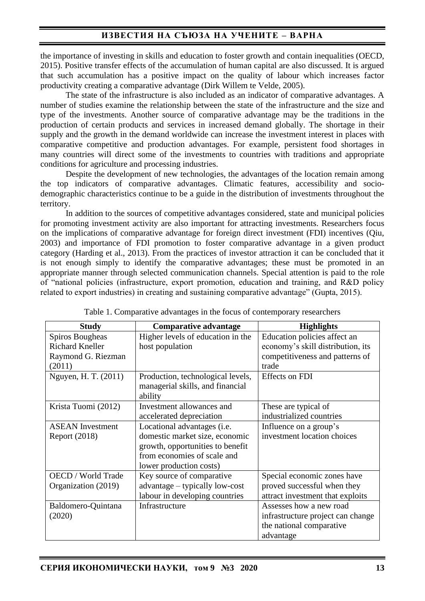the importance of investing in skills and education to foster growth and contain inequalities (OECD, 2015). Positive transfer effects of the accumulation of human capital are also discussed. It is argued that such accumulation has a positive impact on the quality of labour which increases factor productivity creating a comparative advantage (Dirk Willem te Velde, 2005).

The state of the infrastructure is also included as an indicator of comparative advantages. A number of studies examine the relationship between the state of the infrastructure and the size and type of the investments. Another source of comparative advantage may be the traditions in the production of certain products and services in increased demand globally. The shortage in their supply and the growth in the demand worldwide can increase the investment interest in places with comparative competitive and production advantages. For example, persistent food shortages in many countries will direct some of the investments to countries with traditions and appropriate conditions for agriculture and processing industries.

Despite the development of new technologies, the advantages of the location remain among the top indicators of comparative advantages. Climatic features, accessibility and sociodemographic characteristics continue to be a guide in the distribution of investments throughout the territory.

In addition to the sources of competitive advantages considered, state and municipal policies for promoting investment activity are also important for attracting investments. Researchers focus on the implications of comparative advantage for foreign direct investment (FDI) incentives (Qiu, 2003) and importance of FDI promotion to foster comparative advantage in a given product category (Harding et al., 2013). From the practices of investor attraction it can be concluded that it is not enough simply to identify the comparative advantages; these must be promoted in an appropriate manner through selected communication channels. Special attention is paid to the role of "national policies (infrastructure, export promotion, education and training, and R&D policy related to export industries) in creating and sustaining comparative advantage" (Gupta, 2015).

| <b>Study</b>              | <b>Comparative advantage</b>      | <b>Highlights</b>                 |
|---------------------------|-----------------------------------|-----------------------------------|
| Spiros Bougheas           | Higher levels of education in the | Education policies affect an      |
| <b>Richard Kneller</b>    | host population                   | economy's skill distribution, its |
| Raymond G. Riezman        |                                   | competitiveness and patterns of   |
| (2011)                    |                                   | trade                             |
| Nguyen, H. T. (2011)      | Production, technological levels, | <b>Effects on FDI</b>             |
|                           | managerial skills, and financial  |                                   |
|                           | ability                           |                                   |
| Krista Tuomi (2012)       | Investment allowances and         | These are typical of              |
|                           | accelerated depreciation          | industrialized countries          |
| <b>ASEAN</b> Investment   | Locational advantages (i.e.       | Influence on a group's            |
| Report (2018)             | domestic market size, economic    | investment location choices       |
|                           | growth, opportunities to benefit  |                                   |
|                           | from economies of scale and       |                                   |
|                           | lower production costs)           |                                   |
| <b>OECD</b> / World Trade | Key source of comparative         | Special economic zones have       |
| Organization (2019)       | advantage – typically low-cost    | proved successful when they       |
|                           | labour in developing countries    | attract investment that exploits  |
| Baldomero-Quintana        | Infrastructure                    | Assesses how a new road           |
| (2020)                    |                                   | infrastructure project can change |
|                           |                                   | the national comparative          |
|                           |                                   | advantage                         |

|  |  |  | Table 1. Comparative advantages in the focus of contemporary researchers |
|--|--|--|--------------------------------------------------------------------------|
|  |  |  |                                                                          |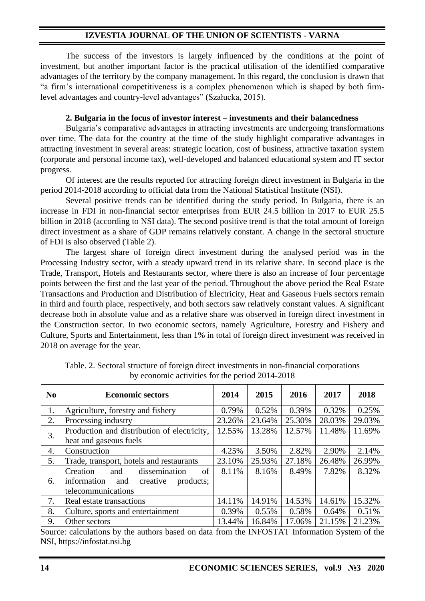The success of the investors is largely influenced by the conditions at the point of investment, but another important factor is the practical utilisation of the identified comparative advantages of the territory by the company management. In this regard, the conclusion is drawn that "a firm's international competitiveness is a complex phenomenon which is shaped by both firmlevel advantages and country-level advantages" (Szałucka, 2015).

### **2. Bulgaria in the focus of investor interest – investments and their balancedness**

Bulgaria's comparative advantages in attracting investments are undergoing transformations over time. The data for the country at the time of the study highlight comparative advantages in attracting investment in several areas: strategic location, cost of business, attractive taxation system (corporate and personal income tax), well-developed and balanced educational system and IT sector progress.

Of interest are the results reported for attracting foreign direct investment in Bulgaria in the period 2014-2018 according to official data from the National Statistical Institute (NSI).

Several positive trends can be identified during the study period. In Bulgaria, there is an increase in FDI in non-financial sector enterprises from EUR 24.5 billion in 2017 to EUR 25.5 billion in 2018 (according to NSI data). The second positive trend is that the total amount of foreign direct investment as a share of GDP remains relatively constant. A change in the sectoral structure of FDI is also observed (Table 2).

The largest share of foreign direct investment during the analysed period was in the Processing Industry sector, with a steady upward trend in its relative share. In second place is the Trade, Transport, Hotels and Restaurants sector, where there is also an increase of four percentage points between the first and the last year of the period. Throughout the above period the Real Estate Transactions and Production and Distribution of Electricity, Heat and Gaseous Fuels sectors remain in third and fourth place, respectively, and both sectors saw relatively constant values. A significant decrease both in absolute value and as a relative share was observed in foreign direct investment in the Construction sector. In two economic sectors, namely Agriculture, Forestry and Fishery and Culture, Sports and Entertainment, less than 1% in total of foreign direct investment was received in 2018 on average for the year.

| N <sub>0</sub> | <b>Economic sectors</b>                     | 2014   | 2015     | 2016   | 2017   | 2018   |
|----------------|---------------------------------------------|--------|----------|--------|--------|--------|
| 1.             | Agriculture, forestry and fishery           | 0.79%  | 0.52%    | 0.39%  | 0.32%  | 0.25%  |
| 2.             | Processing industry                         | 23.26% | 23.64%   | 25.30% | 28.03% | 29.03% |
| 3.             | Production and distribution of electricity, | 12.55% | 13.28%   | 12.57% | 11.48% | 11.69% |
|                | heat and gaseous fuels                      |        |          |        |        |        |
| 4.             | Construction                                | 4.25%  | 3.50%    | 2.82%  | 2.90%  | 2.14%  |
| 5.             | Trade, transport, hotels and restaurants    | 23.10% | 25.93%   | 27.18% | 26.48% | 26.99% |
|                | dissemination<br>of<br>Creation<br>and      | 8.11%  | 8.16%    | 8.49%  | 7.82%  | 8.32%  |
| 6.             | information<br>and<br>creative<br>products; |        |          |        |        |        |
|                | telecommunications                          |        |          |        |        |        |
| 7.             | Real estate transactions                    | 14.11% | 14.91%   | 14.53% | 14.61% | 15.32% |
| 8.             | Culture, sports and entertainment           | 0.39%  | $0.55\%$ | 0.58%  | 0.64%  | 0.51%  |
| 9.             | Other sectors                               | 13.44% | 16.84%   | 17.06% | 21.15% | 21.23% |

Table. 2. Sectoral structure of foreign direct investments in non-financial corporations by economic activities for the period 2014-2018

Source: calculations by the authors based on data from the INFOSTAT Information System of the NSI, [https://infostat.nsi.bg](https://infostat.nsi.bg/)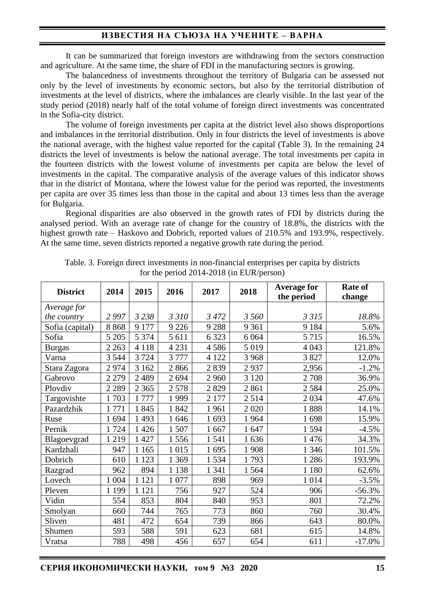## **ИЗВЕСТИЯ НА СЪЮЗА НА УЧЕНИТЕ – ВАРНА**

It can be summarized that foreign investors are withdrawing from the sectors construction and agriculture. At the same time, the share of FDI in the manufacturing sectors is growing.

The balancedness of investments throughout the territory of Bulgaria can be assessed not only by the level of investments by economic sectors, but also by the territorial distribution of investments at the level of districts, where the imbalances are clearly visible. In the last year of the study period (2018) nearly half of the total volume of foreign direct investments was concentrated in the Sofia-city district.

The volume of foreign investments per capita at the district level also shows disproportions and imbalances in the territorial distribution. Only in four districts the level of investments is above the national average, with the highest value reported for the capital (Table 3). In the remaining 24 districts the level of investments is below the national average. The total investments per capita in the fourteen districts with the lowest volume of investments per capita are below the level of investments in the capital. The comparative analysis of the average values of this indicator shows that in the district of Montana, where the lowest value for the period was reported, the investments per capita are over 35 times less than those in the capital and about 13 times less than the average for Bulgaria.

Regional disparities are also observed in the growth rates of FDI by districts during the analysed period. With an average rate of change for the country of 18.8%, the districts with the highest growth rate – Haskovo and Dobrich, reported values of 210.5% and 193.9%, respectively. At the same time, seven districts reported a negative growth rate during the period.

| <b>District</b> | 2014    | 2015    | 2016    | 2017    | 2018    | <b>Average for</b><br>the period | <b>Rate of</b><br>change |
|-----------------|---------|---------|---------|---------|---------|----------------------------------|--------------------------|
| Average for     |         |         |         |         |         |                                  |                          |
| the country     | 2 9 9 7 | 3 2 3 8 | 3310    | 3 472   | 3 560   | 3 3 1 5                          | 18.8%                    |
| Sofia (capital) | 8868    | 9 177   | 9 2 2 6 | 9 2 8 8 | 9 3 6 1 | 9 1 8 4                          | 5.6%                     |
| Sofia           | 5 2 0 5 | 5 3 7 4 | 5 6 1 1 | 6 3 2 3 | 6 0 6 4 | 5 7 1 5                          | 16.5%                    |
| <b>Burgas</b>   | 2 2 6 3 | 4 1 1 8 | 4 2 3 1 | 4586    | 5 0 1 9 | 4 0 43                           | 121.8%                   |
| Varna           | 3 5 4 4 | 3724    | 3777    | 4 1 2 2 | 3 9 6 8 | 3 8 2 7                          | 12.0%                    |
| Stara Zagora    | 2974    | 3 1 6 2 | 2866    | 2839    | 2937    | 2,956                            | $-1.2%$                  |
| Gabrovo         | 2 2 7 9 | 2 4 8 9 | 2694    | 2 9 6 0 | 3 1 2 0 | 2708                             | 36.9%                    |
| Plovdiv         | 2 2 8 9 | 2 3 6 5 | 2578    | 2829    | 2861    | 2584                             | 25.0%                    |
| Targovishte     | 1703    | 1777    | 1999    | 2 177   | 2514    | 2034                             | 47.6%                    |
| Pazardzhik      | 1771    | 1845    | 1842    | 1961    | 2 0 2 0 | 1888                             | 14.1%                    |
| Ruse            | 1694    | 1493    | 1646    | 1693    | 1964    | 1698                             | 15.9%                    |
| Pernik          | 1724    | 1 4 2 6 | 1507    | 1667    | 1647    | 1594                             | $-4.5%$                  |
| Blagoevgrad     | 1219    | 1 4 2 7 | 1556    | 1541    | 1636    | 1476                             | 34.3%                    |
| Kardzhali       | 947     | 1 1 6 5 | 1 0 1 5 | 1695    | 1908    | 1 3 4 6                          | 101.5%                   |
| Dobrich         | 610     | 1 1 2 3 | 1 3 6 9 | 1534    | 1793    | 1 2 8 6                          | 193.9%                   |
| Razgrad         | 962     | 894     | 1 1 3 8 | 1 3 4 1 | 1564    | 1 1 8 0                          | 62.6%                    |
| Lovech          | 1 0 0 4 | 1 1 2 1 | 1 0 7 7 | 898     | 969     | 1 0 1 4                          | $-3.5%$                  |
| Pleven          | 1 1 9 9 | 1 1 2 1 | 756     | 927     | 524     | 906                              | $-56.3%$                 |
| Vidin           | 554     | 853     | 804     | 840     | 953     | 801                              | 72.2%                    |
| Smolyan         | 660     | 744     | 765     | 773     | 860     | 760                              | 30.4%                    |
| Sliven          | 481     | 472     | 654     | 739     | 866     | 643                              | 80.0%                    |
| Shumen          | 593     | 588     | 591     | 623     | 681     | 615                              | 14.8%                    |
| Vratsa          | 788     | 498     | 456     | 657     | 654     | 611                              | $-17.0%$                 |

Table. 3. Foreign direct investments in non-financial enterprises per capita by districts for the period 2014-2018 (in EUR/person)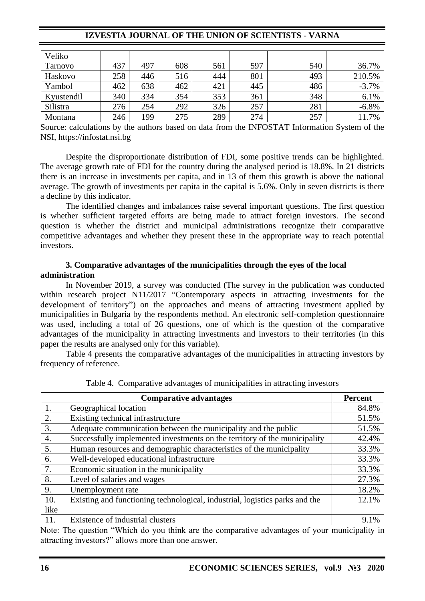| Veliko         |     |     |     |     |     |     |         |
|----------------|-----|-----|-----|-----|-----|-----|---------|
| <b>Tarnovo</b> | 437 | 497 | 608 | 561 | 597 | 540 | 36.7%   |
| Haskovo        | 258 | 446 | 516 | 444 | 801 | 493 | 210.5%  |
| Yambol         | 462 | 638 | 462 | 421 | 445 | 486 | $-3.7%$ |
| Kyustendil     | 340 | 334 | 354 | 353 | 361 | 348 | 6.1%    |
| Silistra       | 276 | 254 | 292 | 326 | 257 | 281 | $-6.8%$ |
| Montana        | 246 | 199 | 275 | 289 | 274 | 257 | 11.7%   |

Source: calculations by the authors based on data from the INFOSTAT Information System of the NSI, [https://infostat.nsi.bg](https://infostat.nsi.bg/)

Despite the disproportionate distribution of FDI, some positive trends can be highlighted. The average growth rate of FDI for the country during the analysed period is 18.8%. In 21 districts there is an increase in investments per capita, and in 13 of them this growth is above the national average. The growth of investments per capita in the capital is 5.6%. Only in seven districts is there a decline by this indicator.

The identified changes and imbalances raise several important questions. The first question is whether sufficient targeted efforts are being made to attract foreign investors. The second question is whether the district and municipal administrations recognize their comparative competitive advantages and whether they present these in the appropriate way to reach potential investors.

### **3. Comparative advantages of the municipalities through the eyes of the local administration**

In November 2019, a survey was conducted (The survey in the publication was conducted within research project N11/2017 "Contemporary aspects in attracting investments for the development of territory") on the approaches and means of attracting investment applied by municipalities in Bulgaria by the respondents method. An electronic self-completion questionnaire was used, including a total of 26 questions, one of which is the question of the comparative advantages of the municipality in attracting investments and investors to their territories (in this paper the results are analysed only for this variable).

Table 4 presents the comparative advantages of the municipalities in attracting investors by frequency of reference.

|      | <b>Comparative advantages</b>                                               | <b>Percent</b> |
|------|-----------------------------------------------------------------------------|----------------|
|      | Geographical location                                                       | 84.8%          |
| 2.   | Existing technical infrastructure                                           | 51.5%          |
| 3.   | Adequate communication between the municipality and the public              | 51.5%          |
| 4.   | Successfully implemented investments on the territory of the municipality   | 42.4%          |
| 5.   | Human resources and demographic characteristics of the municipality         | 33.3%          |
| 6.   | Well-developed educational infrastructure                                   | 33.3%          |
| 7.   | Economic situation in the municipality                                      | 33.3%          |
| 8.   | Level of salaries and wages                                                 | 27.3%          |
| 9.   | Unemployment rate                                                           | 18.2%          |
| 10.  | Existing and functioning technological, industrial, logistics parks and the | 12.1%          |
| like |                                                                             |                |
| 11.  | Existence of industrial clusters                                            | 9.1%           |

Table 4. Comparative advantages of municipalities in attracting investors

Note: The question "Which do you think are the comparative advantages of your municipality in attracting investors?" allows more than one answer.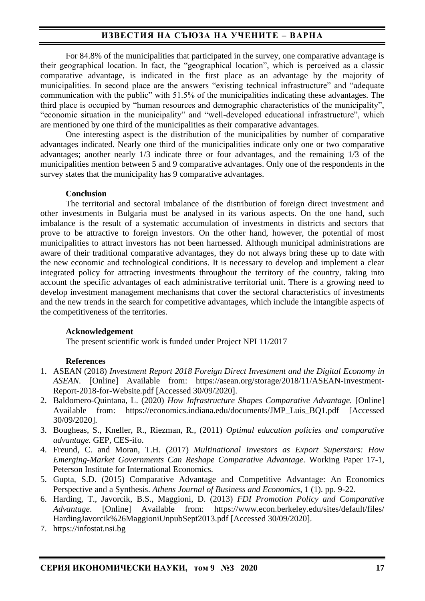# **ИЗВЕСТИЯ НА СЪЮЗА НА УЧЕНИТЕ – ВАРНА**

For 84.8% of the municipalities that participated in the survey, one comparative advantage is their geographical location. In fact, the "geographical location", which is perceived as a classic comparative advantage, is indicated in the first place as an advantage by the majority of municipalities. In second place are the answers "existing technical infrastructure" and "adequate communication with the public" with 51.5% of the municipalities indicating these advantages. The third place is occupied by "human resources and demographic characteristics of the municipality", "economic situation in the municipality" and "well-developed educational infrastructure", which are mentioned by one third of the municipalities as their comparative advantages.

One interesting aspect is the distribution of the municipalities by number of comparative advantages indicated. Nearly one third of the municipalities indicate only one or two comparative advantages; another nearly 1/3 indicate three or four advantages, and the remaining 1/3 of the municipalities mention between 5 and 9 comparative advantages. Only one of the respondents in the survey states that the municipality has 9 comparative advantages.

### **Conclusion**

The territorial and sectoral imbalance of the distribution of foreign direct investment and other investments in Bulgaria must be analysed in its various aspects. On the one hand, such imbalance is the result of a systematic accumulation of investments in districts and sectors that prove to be attractive to foreign investors. On the other hand, however, the potential of most municipalities to attract investors has not been harnessed. Although municipal administrations are aware of their traditional comparative advantages, they do not always bring these up to date with the new economic and technological conditions. It is necessary to develop and implement a clear integrated policy for attracting investments throughout the territory of the country, taking into account the specific advantages of each administrative territorial unit. There is a growing need to develop investment management mechanisms that cover the sectoral characteristics of investments and the new trends in the search for competitive advantages, which include the intangible aspects of the competitiveness of the territories.

### **Acknowledgement**

The present scientific work is funded under Project NPI 11/2017

## **References**

- 1. ASEAN (2018) *Investment Report 2018 Foreign Direct Investment and the Digital Economy in ASEAN*. [Online] Available from: https://asean.org/storage/2018/11/ASEAN-Investment-Report-2018-for-Website.pdf [Accessed 30/09/2020].
- 2. Baldomero-Quintana, L. (2020) *How Infrastructure Shapes Comparative Advantage.* [Online] Available from: https://economics.indiana.edu/documents/JMP\_Luis\_BQ1.pdf [Accessed 30/09/2020].
- 3. Bougheas, S., Kneller, R., Riezman, R., (2011) *Optimal education policies and comparative advantage.* GEP, CES-ifo.
- 4. Freund, C. and Moran, T.H. (2017) *Multinational Investors as Export Superstars: How Emerging-Market Governments Can Reshape Comparative Advantage*. Working Paper 17-1, Peterson Institute for International Economics.
- 5. Gupta, S.D. (2015) Comparative Advantage and Competitive Advantage: An Economics Perspective and a Synthesis. *Athens Journal of Business and Economics*, 1 (1). pp. 9-22.
- 6. Harding, T., Javorcik, B.S., Maggioni, D. (2013) *FDI Promotion Policy and Comparative Advantage*. [Online] Available from: https://www.econ.berkeley.edu/sites/default/files/ HardingJavorcik%26MaggioniUnpubSept2013.pdf [Accessed 30/09/2020].
- 7. [https://infostat.nsi.bg](https://infostat.nsi.bg/)